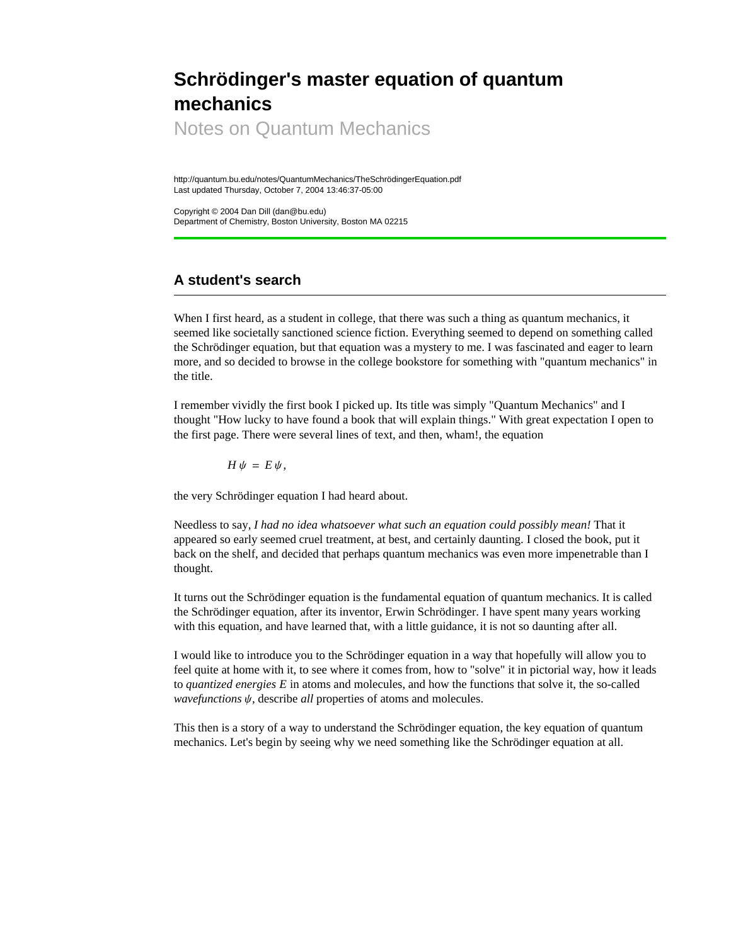# **Schrödinger's master equation of quantum mechanics**

Notes on Quantum Mechanics

http://quantum.bu.edu/notes/QuantumMechanics/TheSchrödingerEquation.pdf Last updated Thursday, October 7, 2004 13:46:37-05:00

Copyright © 2004 Dan Dill (dan@bu.edu) Department of Chemistry, Boston University, Boston MA 02215

# **A student's search**

When I first heard, as a student in college, that there was such a thing as quantum mechanics, it seemed like societally sanctioned science fiction. Everything seemed to depend on something called the Schrödinger equation, but that equation was a mystery to me. I was fascinated and eager to learn more, and so decided to browse in the college bookstore for something with "quantum mechanics" in the title.

I remember vividly the first book I picked up. Its title was simply "Quantum Mechanics" and I thought "How lucky to have found a book that will explain things." With great expectation I open to the first page. There were several lines of text, and then, wham!, the equation

 $H \psi = E \psi$ ,

the very Schrödinger equation I had heard about.

Needless to say, *I had no idea whatsoever what such an equation could possibly mean!* That it appeared so early seemed cruel treatment, at best, and certainly daunting. I closed the book, put it back on the shelf, and decided that perhaps quantum mechanics was even more impenetrable than I thought.

It turns out the Schrödinger equation is the fundamental equation of quantum mechanics. It is called the Schrödinger equation, after its inventor, Erwin Schrödinger. I have spent many years working with this equation, and have learned that, with a little guidance, it is not so daunting after all.

I would like to introduce you to the Schrödinger equation in a way that hopefully will allow you to feel quite at home with it, to see where it comes from, how to "solve" it in pictorial way, how it leads to *quantized energies E* in atoms and molecules, and how the functions that solve it, the so-called *wavefunctions*  $\psi$ , describe *all* properties of atoms and molecules.

This then is a story of a way to understand the Schrödinger equation, the key equation of quantum mechanics. Let's begin by seeing why we need something like the Schrödinger equation at all.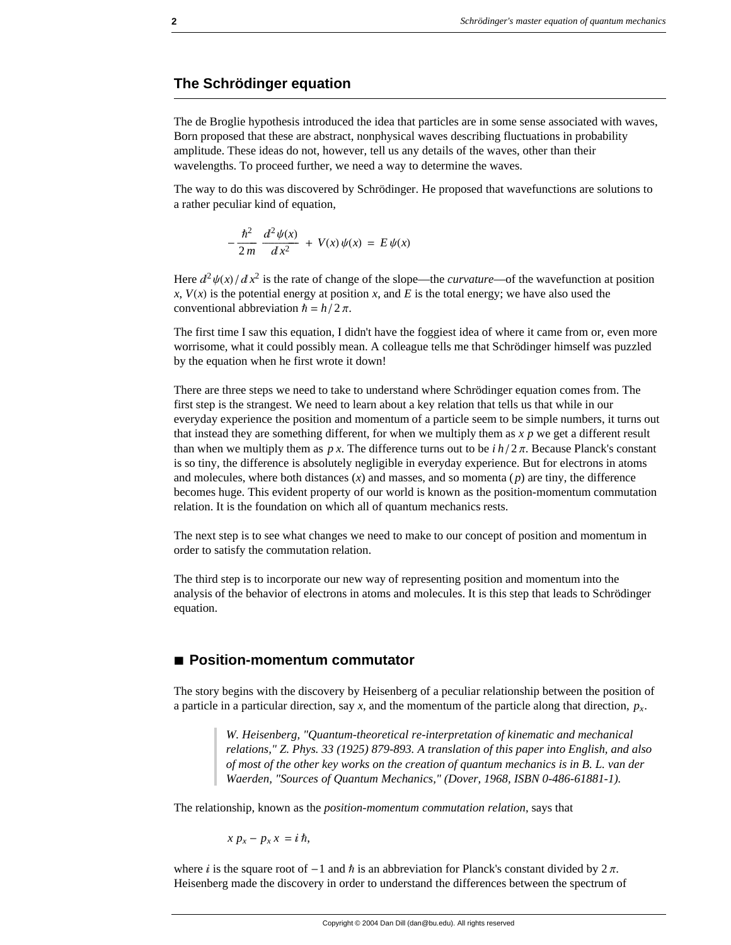## **The Schrödinger equation**

The de Broglie hypothesis introduced the idea that particles are in some sense associated with waves, Born proposed that these are abstract, nonphysical waves describing fluctuations in probability amplitude. These ideas do not, however, tell us any details of the waves, other than their wavelengths. To proceed further, we need a way to determine the waves.

The way to do this was discovered by Schrödinger. He proposed that wavefunctions are solutions to a rather peculiar kind of equation,

$$
-\frac{\hbar^2}{2\,m}\,\frac{d^2\,\psi(x)}{dx^2}\,+\,V(x)\,\psi(x)\,=\,E\,\psi(x)
$$

Here  $d^2 \psi(x)/dx^2$  is the rate of change of the slope—the *curvature*—of the wavefunction at position  $x$ ,  $V(x)$  is the potential energy at position *x*, and *E* is the total energy; we have also used the conventional abbreviation  $\hbar = h/2 \pi$ .

The first time I saw this equation, I didn't have the foggiest idea of where it came from or, even more worrisome, what it could possibly mean. A colleague tells me that Schrödinger himself was puzzled by the equation when he first wrote it down!

There are three steps we need to take to understand where Schrödinger equation comes from. The first step is the strangest. We need to learn about a key relation that tells us that while in our everyday experience the position and momentum of a particle seem to be simple numbers, it turns out that instead they are something different, for when we multiply them as *x p* we get a different result than when we multiply them as  $p x$ . The difference turns out to be  $i h / 2 \pi$ . Because Planck's constant is so tiny, the difference is absolutely negligible in everyday experience. But for electrons in atoms and molecules, where both distances (*x*) and masses, and so momenta (*p*) are tiny, the difference becomes huge. This evident property of our world is known as the position-momentum commutation relation. It is the foundation on which all of quantum mechanics rests.

The next step is to see what changes we need to make to our concept of position and momentum in order to satisfy the commutation relation.

The third step is to incorporate our new way of representing position and momentum into the analysis of the behavior of electrons in atoms and molecules. It is this step that leads to Schrödinger equation.

## **à Position-momentum commutator**

The story begins with the discovery by Heisenberg of a peculiar relationship between the position of a particle in a particular direction, say x, and the momentum of the particle along that direction,  $p_x$ .

> *W. Heisenberg, "Quantum-theoretical re-interpretation of kinematic and mechanical relations," Z. Phys. 33 (1925) 879-893. A translation of this paper into English, and also of most of the other key works on the creation of quantum mechanics is in B. L. van der Waerden, "Sources of Quantum Mechanics," (Dover, 1968, ISBN 0-486-61881-1).*

The relationship, known as the *position-momentum commutation relation*, says that

$$
x p_x - p_x x = i \hbar,
$$

where *i* is the square root of  $-1$  and  $\hbar$  is an abbreviation for Planck's constant divided by  $2\pi$ . Heisenberg made the discovery in order to understand the differences between the spectrum of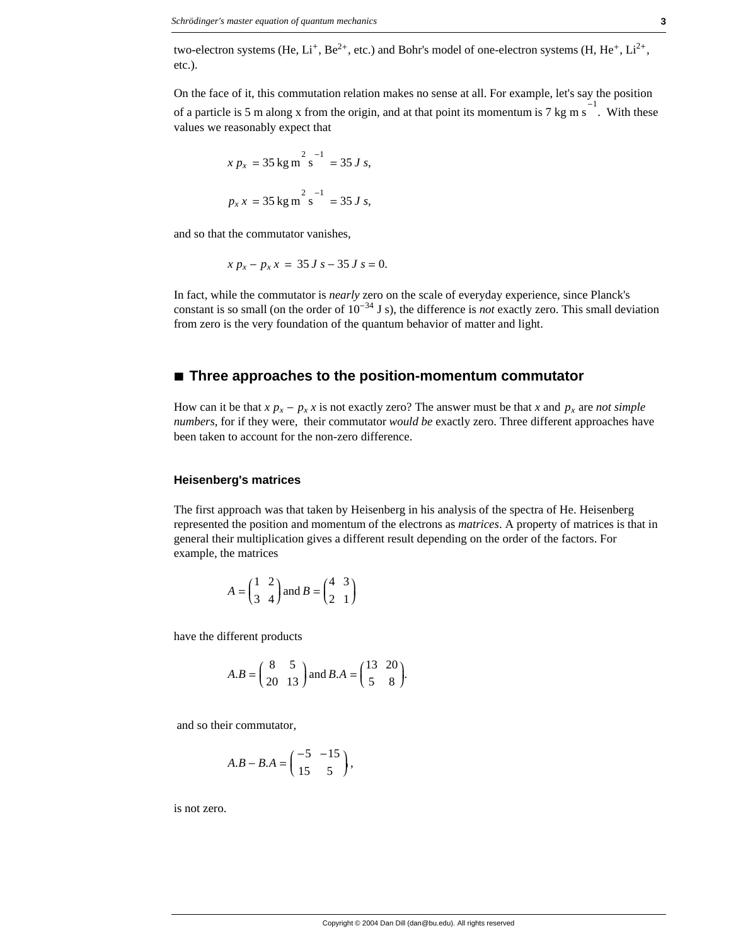two-electron systems (He,  $Li^+$ , Be<sup>2+</sup>, etc.) and Bohr's model of one-electron systems (H, He<sup>+</sup>,  $Li^{2+}$ , etc.).

On the face of it, this commutation relation makes no sense at all. For example, let's say the position of a particle is 5 m along x from the origin, and at that point its momentum is 7 kg m s<sup>-1</sup>. With these values we reasonably expect that

$$
x p_x = 35 \text{ kg m}^2 \text{ s}^{-1} = 35 J s,
$$
  

$$
p_x x = 35 \text{ kg m}^2 \text{ s}^{-1} = 35 J s,
$$

and so that the commutator vanishes,

$$
x p_x - p_x x = 35 J s - 35 J s = 0.
$$

In fact, while the commutator is *nearly* zero on the scale of everyday experience, since Planck's constant is so small (on the order of  $10^{-34}$  J s), the difference is *not* exactly zero. This small deviation from zero is the very foundation of the quantum behavior of matter and light.

## **à Three approaches to the position-momentum commutator**

How can it be that  $x p_x - p_x x$  is not exactly zero? The answer must be that *x* and  $p_x$  are *not simple numbers*, for if they were, their commutator *would be* exactly zero. Three different approaches have been taken to account for the non-zero difference.

#### **Heisenberg's matrices**

The first approach was that taken by Heisenberg in his analysis of the spectra of He. Heisenberg represented the position and momentum of the electrons as *matrices*. A property of matrices is that in general their multiplication gives a different result depending on the order of the factors. For example, the matrices

$$
A = \begin{pmatrix} 1 & 2 \\ 3 & 4 \end{pmatrix} \text{ and } B = \begin{pmatrix} 4 & 3 \\ 2 & 1 \end{pmatrix}
$$

have the different products

$$
A.B = \begin{pmatrix} 8 & 5 \\ 20 & 13 \end{pmatrix} \text{ and } B.A = \begin{pmatrix} 13 & 20 \\ 5 & 8 \end{pmatrix}.
$$

and so their commutator,

$$
A.B - B.A = \begin{pmatrix} -5 & -15 \\ 15 & 5 \end{pmatrix},
$$

is not zero.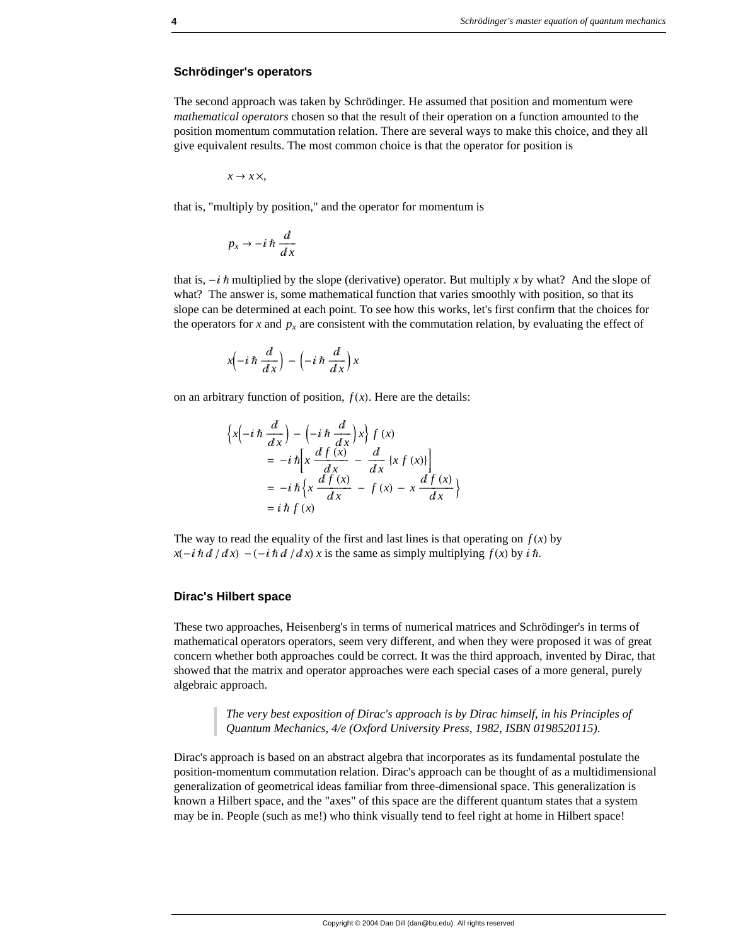#### **Schrödinger's operators**

The second approach was taken by Schrödinger. He assumed that position and momentum were *mathematical operators* chosen so that the result of their operation on a function amounted to the position momentum commutation relation. There are several ways to make this choice, and they all give equivalent results. The most common choice is that the operator for position is

$$
x \to x \times,
$$

that is, "multiply by position," and the operator for momentum is

$$
p_x \to -i\,\hbar\,\frac{d}{dx}
$$

that is,  $-i\hbar$  multiplied by the slope (derivative) operator. But multiply x by what? And the slope of what? The answer is, some mathematical function that varies smoothly with position, so that its slope can be determined at each point. To see how this works, let's first confirm that the choices for the operators for *x* and  $p_x$  are consistent with the commutation relation, by evaluating the effect of

$$
x\left(-i\,\hbar\,\frac{d}{dx}\right) - \left(-i\,\hbar\,\frac{d}{dx}\right)x
$$

on an arbitrary function of position,  $f(x)$ . Here are the details:

$$
\begin{aligned} \left\{ x \left( -i \hbar \frac{d}{dx} \right) - \left( -i \hbar \frac{d}{dx} \right) x \right\} f(x) \\ &= -i \hbar \left[ x \frac{df(x)}{dx} - \frac{d}{dx} \left\{ x f(x) \right\} \right] \\ &= -i \hbar \left\{ x \frac{df(x)}{dx} - f(x) - x \frac{df(x)}{dx} \right\} \\ &= i \hbar f(x) \end{aligned}
$$

The way to read the equality of the first and last lines is that operating on  $f(x)$  by  $x(-i \hbar d / dx) - (-i \hbar d / dx) x$  is the same as simply multiplying  $f(x)$  by  $i \hbar$ .

#### **Dirac's Hilbert space**

These two approaches, Heisenberg's in terms of numerical matrices and Schrödinger's in terms of mathematical operators operators, seem very different, and when they were proposed it was of great concern whether both approaches could be correct. It was the third approach, invented by Dirac, that showed that the matrix and operator approaches were each special cases of a more general, purely algebraic approach.

> *The very best exposition of Dirac's approach is by Dirac himself, in his Principles of Quantum Mechanics, 4/e (Oxford University Press, 1982, ISBN 0198520115).*

Dirac's approach is based on an abstract algebra that incorporates as its fundamental postulate the position-momentum commutation relation. Dirac's approach can be thought of as a multidimensional generalization of geometrical ideas familiar from three-dimensional space. This generalization is known a Hilbert space, and the "axes" of this space are the different quantum states that a system may be in. People (such as me!) who think visually tend to feel right at home in Hilbert space!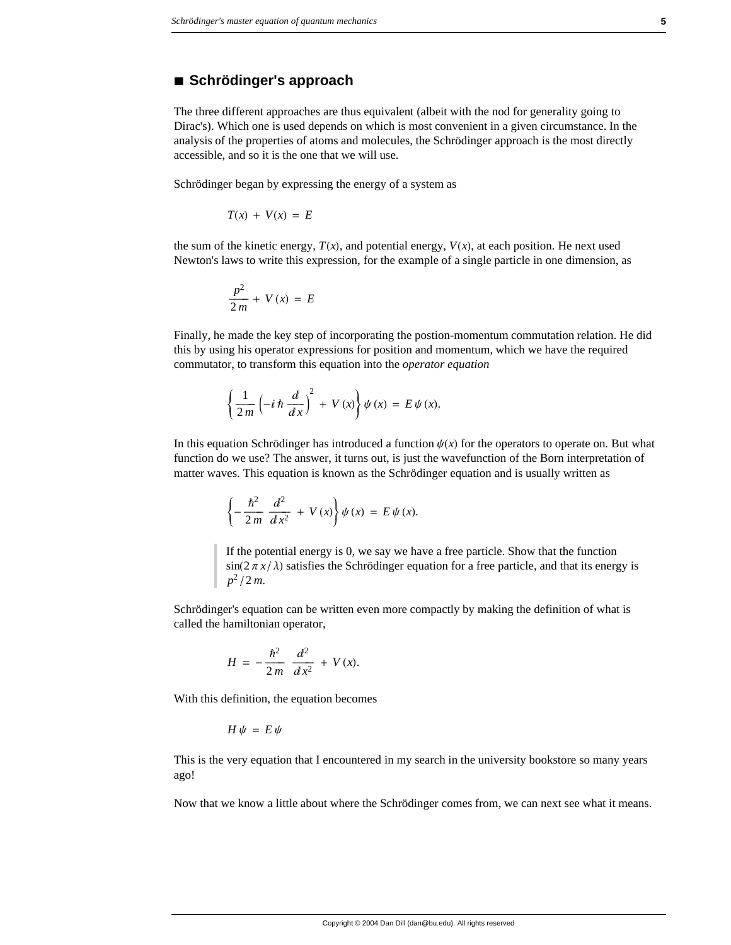## **à Schrödinger's approach**

The three different approaches are thus equivalent (albeit with the nod for generality going to Dirac's). Which one is used depends on which is most convenient in a given circumstance. In the analysis of the properties of atoms and molecules, the Schrödinger approach is the most directly accessible, and so it is the one that we will use.

Schrödinger began by expressing the energy of a system as

$$
T(x) + V(x) = E
$$

the sum of the kinetic energy,  $T(x)$ , and potential energy,  $V(x)$ , at each position. He next used Newton's laws to write this expression, for the example of a single particle in one dimension, as

$$
\frac{p^2}{2m} + V(x) = E
$$

Finally, he made the key step of incorporating the postion-momentum commutation relation. He did this by using his operator expressions for position and momentum, which we have the required commutator, to transform this equation into the *operator equation*

$$
\left\{\frac{1}{2m}\left(-i\hbar\,\frac{d}{dx}\right)^2 + V(x)\right\}\psi(x) = E\,\psi(x).
$$

In this equation Schrödinger has introduced a function  $\psi(x)$  for the operators to operate on. But what function do we use? The answer, it turns out, is just the wavefunction of the Born interpretation of matter waves. This equation is known as the Schrödinger equation and is usually written as

$$
\left\{-\frac{\hbar^2}{2m}\frac{d^2}{dx^2} + V(x)\right\}\psi(x) = E\psi(x).
$$

If the potential energy is 0, we say we have a free particle. Show that the function  $sin(2 \pi x / \lambda)$  satisfies the Schrödinger equation for a free particle, and that its energy is  $p^2/2m$ .

Schrödinger's equation can be written even more compactly by making the definition of what is called the hamiltonian operator,

$$
H = -\frac{\hbar^2}{2m} \frac{d^2}{dx^2} + V(x).
$$

With this definition, the equation becomes

$$
H\psi = E\psi
$$

This is the very equation that I encountered in my search in the university bookstore so many years ago!

Now that we know a little about where the Schrödinger comes from, we can next see what it means.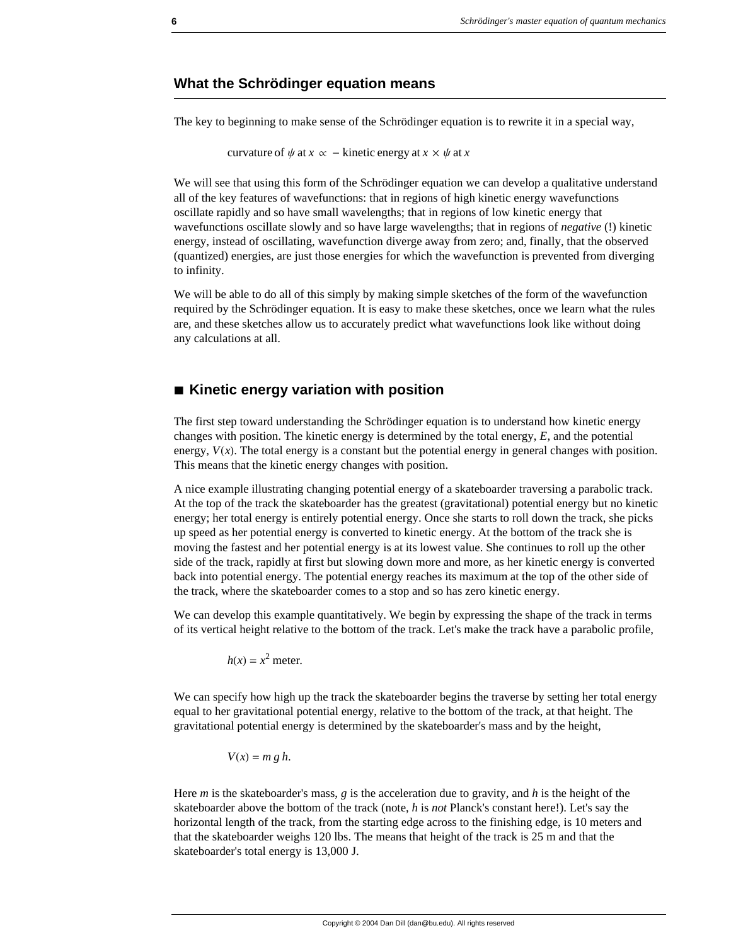### **What the Schrödinger equation means**

The key to beginning to make sense of the Schrödinger equation is to rewrite it in a special way,

```
curvature of \psi at x \propto - kinetic energy at x \times \psi at x \propto \psi
```
We will see that using this form of the Schrödinger equation we can develop a qualitative understand all of the key features of wavefunctions: that in regions of high kinetic energy wavefunctions oscillate rapidly and so have small wavelengths; that in regions of low kinetic energy that wavefunctions oscillate slowly and so have large wavelengths; that in regions of *negative* (!) kinetic energy, instead of oscillating, wavefunction diverge away from zero; and, finally, that the observed (quantized) energies, are just those energies for which the wavefunction is prevented from diverging to infinity.

We will be able to do all of this simply by making simple sketches of the form of the wavefunction required by the Schrödinger equation. It is easy to make these sketches, once we learn what the rules are, and these sketches allow us to accurately predict what wavefunctions look like without doing any calculations at all.

# **à Kinetic energy variation with position**

The first step toward understanding the Schrödinger equation is to understand how kinetic energy changes with position. The kinetic energy is determined by the total energy, *E*, and the potential energy,  $V(x)$ . The total energy is a constant but the potential energy in general changes with position. This means that the kinetic energy changes with position.

A nice example illustrating changing potential energy of a skateboarder traversing a parabolic track. At the top of the track the skateboarder has the greatest (gravitational) potential energy but no kinetic energy; her total energy is entirely potential energy. Once she starts to roll down the track, she picks up speed as her potential energy is converted to kinetic energy. At the bottom of the track she is moving the fastest and her potential energy is at its lowest value. She continues to roll up the other side of the track, rapidly at first but slowing down more and more, as her kinetic energy is converted back into potential energy. The potential energy reaches its maximum at the top of the other side of the track, where the skateboarder comes to a stop and so has zero kinetic energy.

We can develop this example quantitatively. We begin by expressing the shape of the track in terms of its vertical height relative to the bottom of the track. Let's make the track have a parabolic profile,

 $h(x) = x^2$  meter.

We can specify how high up the track the skateboarder begins the traverse by setting her total energy equal to her gravitational potential energy, relative to the bottom of the track, at that height. The gravitational potential energy is determined by the skateboarder's mass and by the height,

$$
V(x) = m g h.
$$

Here *m* is the skateboarder's mass, *g* is the acceleration due to gravity, and *h* is the height of the skateboarder above the bottom of the track (note, *h* is *not* Planck's constant here!). Let's say the horizontal length of the track, from the starting edge across to the finishing edge, is 10 meters and that the skateboarder weighs 120 lbs. The means that height of the track is 25 m and that the skateboarder's total energy is 13,000 J.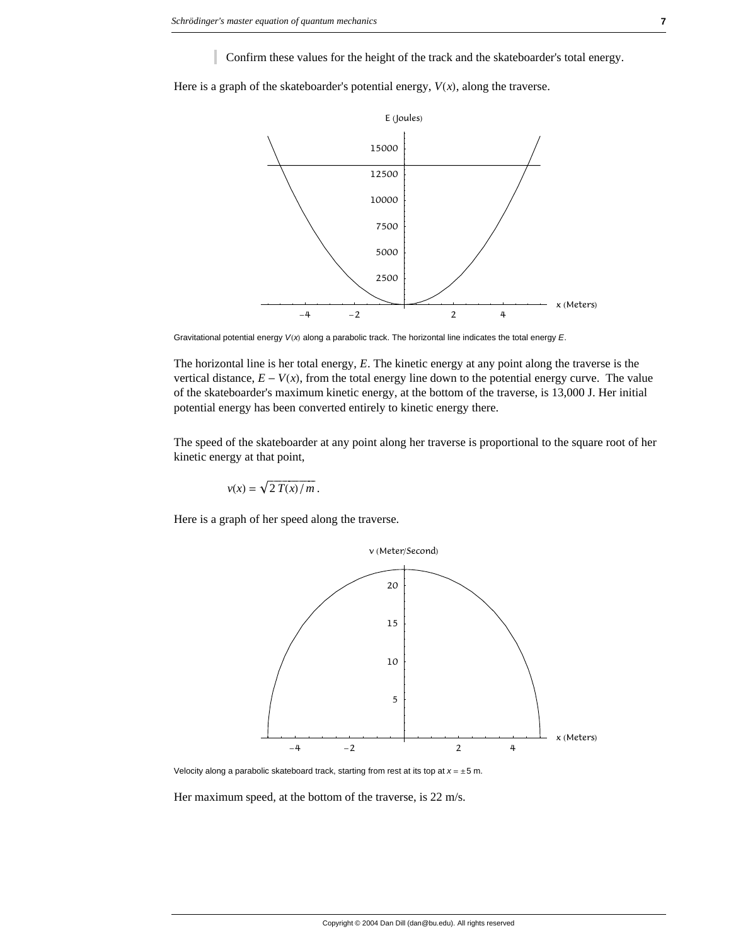Confirm these values for the height of the track and the skateboarder's total energy.

Here is a graph of the skateboarder's potential energy,  $V(x)$ , along the traverse.



Gravitational potential energy  $V(x)$  along a parabolic track. The horizontal line indicates the total energy *E*.

The horizontal line is her total energy, *E*. The kinetic energy at any point along the traverse is the vertical distance,  $E - V(x)$ , from the total energy line down to the potential energy curve. The value of the skateboarder's maximum kinetic energy, at the bottom of the traverse, is 13,000 J. Her initial potential energy has been converted entirely to kinetic energy there.

The speed of the skateboarder at any point along her traverse is proportional to the square root of her kinetic energy at that point,

$$
v(x) = \sqrt{2 T(x)/m}.
$$

Here is a graph of her speed along the traverse.



Velocity along a parabolic skateboard track, starting from rest at its top at  $x = \pm 5$  m.

Her maximum speed, at the bottom of the traverse, is 22 m/s.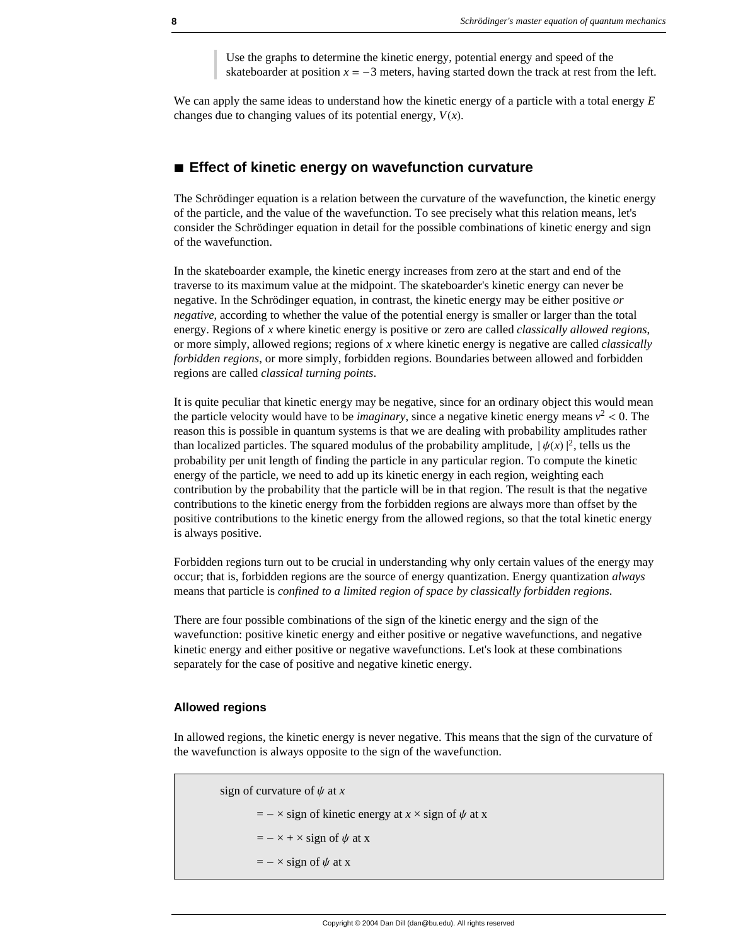Use the graphs to determine the kinetic energy, potential energy and speed of the skateboarder at position  $x = -3$  meters, having started down the track at rest from the left.

We can apply the same ideas to understand how the kinetic energy of a particle with a total energy *E* changes due to changing values of its potential energy,  $V(x)$ .

### **à Effect of kinetic energy on wavefunction curvature**

The Schrödinger equation is a relation between the curvature of the wavefunction, the kinetic energy of the particle, and the value of the wavefunction. To see precisely what this relation means, let's consider the Schrödinger equation in detail for the possible combinations of kinetic energy and sign of the wavefunction.

In the skateboarder example, the kinetic energy increases from zero at the start and end of the traverse to its maximum value at the midpoint. The skateboarder's kinetic energy can never be negative. In the Schrödinger equation, in contrast, the kinetic energy may be either positive *or negative*, according to whether the value of the potential energy is smaller or larger than the total energy. Regions of *x* where kinetic energy is positive or zero are called *classically allowed regions*, or more simply, allowed regions; regions of *x* where kinetic energy is negative are called *classically forbidden regions*, or more simply, forbidden regions. Boundaries between allowed and forbidden regions are called *classical turning points*.

It is quite peculiar that kinetic energy may be negative, since for an ordinary object this would mean the particle velocity would have to be *imaginary*, since a negative kinetic energy means  $v^2 < 0$ . The reason this is possible in quantum systems is that we are dealing with probability amplitudes rather than localized particles. The squared modulus of the probability amplitude,  $|\psi(x)|^2$ , tells us the probability per unit length of finding the particle in any particular region. To compute the kinetic energy of the particle, we need to add up its kinetic energy in each region, weighting each contribution by the probability that the particle will be in that region. The result is that the negative contributions to the kinetic energy from the forbidden regions are always more than offset by the positive contributions to the kinetic energy from the allowed regions, so that the total kinetic energy is always positive.

Forbidden regions turn out to be crucial in understanding why only certain values of the energy may occur; that is, forbidden regions are the source of energy quantization. Energy quantization *always* means that particle is *confined to a limited region of space by classically forbidden regions*.

There are four possible combinations of the sign of the kinetic energy and the sign of the wavefunction: positive kinetic energy and either positive or negative wavefunctions, and negative kinetic energy and either positive or negative wavefunctions. Let's look at these combinations separately for the case of positive and negative kinetic energy.

#### **Allowed regions**

In allowed regions, the kinetic energy is never negative. This means that the sign of the curvature of the wavefunction is always opposite to the sign of the wavefunction.

```
sign of curvature of \psi at x
= - \times sign of kinetic energy at x \times sign of \psi at x
= - \times + \times sign of \psi at x
= - \times sign of \psi at x
```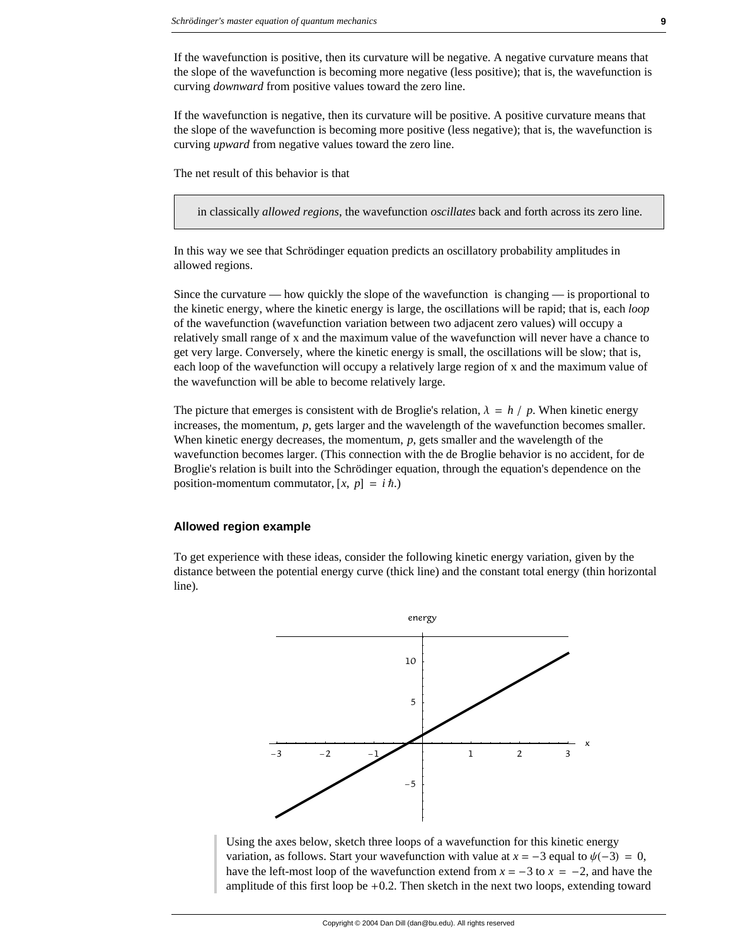If the wavefunction is positive, then its curvature will be negative. A negative curvature means that the slope of the wavefunction is becoming more negative (less positive); that is, the wavefunction is curving *downward* from positive values toward the zero line.

If the wavefunction is negative, then its curvature will be positive. A positive curvature means that the slope of the wavefunction is becoming more positive (less negative); that is, the wavefunction is curving *upward* from negative values toward the zero line.

The net result of this behavior is that

in classically *allowed regions*, the wavefunction *oscillates* back and forth across its zero line.

In this way we see that Schrödinger equation predicts an oscillatory probability amplitudes in allowed regions.

Since the curvature — how quickly the slope of the wavefunction is changing — is proportional to the kinetic energy, where the kinetic energy is large, the oscillations will be rapid; that is, each *loop* of the wavefunction (wavefunction variation between two adjacent zero values) will occupy a relatively small range of x and the maximum value of the wavefunction will never have a chance to get very large. Conversely, where the kinetic energy is small, the oscillations will be slow; that is, each loop of the wavefunction will occupy a relatively large region of x and the maximum value of the wavefunction will be able to become relatively large.

The picture that emerges is consistent with de Broglie's relation,  $\lambda = h / p$ . When kinetic energy increases, the momentum, *p*, gets larger and the wavelength of the wavefunction becomes smaller. When kinetic energy decreases, the momentum, *p*, gets smaller and the wavelength of the wavefunction becomes larger. (This connection with the de Broglie behavior is no accident, for de Broglie's relation is built into the Schrödinger equation, through the equation's dependence on the position-momentum commutator,  $[x, p] = i \hbar$ .)

#### **Allowed region example**

To get experience with these ideas, consider the following kinetic energy variation, given by the distance between the potential energy curve (thick line) and the constant total energy (thin horizontal line).



Using the axes below, sketch three loops of a wavefunction for this kinetic energy variation, as follows. Start your wavefunction with value at  $x = -3$  equal to  $\psi(-3) = 0$ , have the left-most loop of the wavefunction extend from  $x = -3$  to  $x = -2$ , and have the amplitude of this first loop be  $+0.2$ . Then sketch in the next two loops, extending toward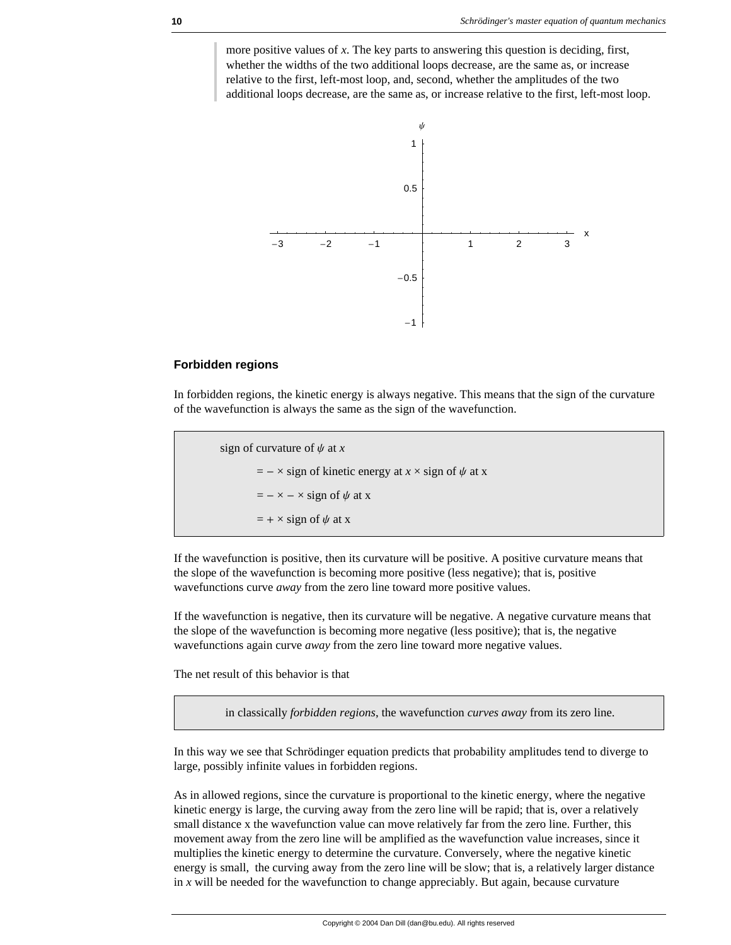more positive values of *x*. The key parts to answering this question is deciding, first, whether the widths of the two additional loops decrease, are the same as, or increase relative to the first, left-most loop, and, second, whether the amplitudes of the two additional loops decrease, are the same as, or increase relative to the first, left-most loop.



#### **Forbidden regions**

In forbidden regions, the kinetic energy is always negative. This means that the sign of the curvature of the wavefunction is always the same as the sign of the wavefunction.

sign of curvature of  $\psi$  at *x*  $=$  -  $\times$  sign of kinetic energy at *x*  $\times$  sign of  $\psi$  at *x*  $=$   $-\times$   $\times$  sign of  $\psi$  at x  $= + \times$  sign of  $\psi$  at x

If the wavefunction is positive, then its curvature will be positive. A positive curvature means that the slope of the wavefunction is becoming more positive (less negative); that is, positive wavefunctions curve *away* from the zero line toward more positive values.

If the wavefunction is negative, then its curvature will be negative. A negative curvature means that the slope of the wavefunction is becoming more negative (less positive); that is, the negative wavefunctions again curve *away* from the zero line toward more negative values.

The net result of this behavior is that

in classically *forbidden regions*, the wavefunction *curves away* from its zero line.

In this way we see that Schrödinger equation predicts that probability amplitudes tend to diverge to large, possibly infinite values in forbidden regions.

As in allowed regions, since the curvature is proportional to the kinetic energy, where the negative kinetic energy is large, the curving away from the zero line will be rapid; that is, over a relatively small distance x the wavefunction value can move relatively far from the zero line. Further, this movement away from the zero line will be amplified as the wavefunction value increases, since it multiplies the kinetic energy to determine the curvature. Conversely, where the negative kinetic energy is small, the curving away from the zero line will be slow; that is, a relatively larger distance in  $x$  will be needed for the wavefunction to change appreciably. But again, because curvature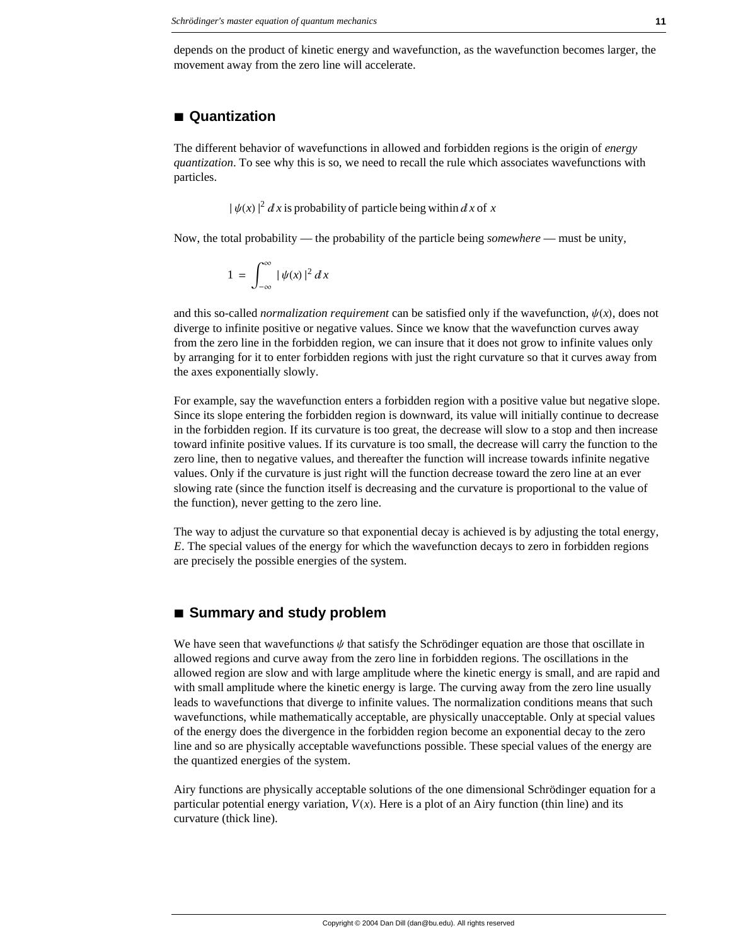depends on the product of kinetic energy and wavefunction, as the wavefunction becomes larger, the movement away from the zero line will accelerate.

# **à Quantization**

The different behavior of wavefunctions in allowed and forbidden regions is the origin of *energy quantization*. To see why this is so, we need to recall the rule which associates wavefunctions with particles.

 $|\psi(x)|^2 dx$  is probability of particle being within dx of x

Now, the total probability — the probability of the particle being *somewhere* — must be unity,

$$
1 = \int_{-\infty}^{\infty} |\psi(x)|^2 dx
$$

and this so-called *normalization requirement* can be satisfied only if the wavefunction,  $\psi(x)$ , does not diverge to infinite positive or negative values. Since we know that the wavefunction curves away from the zero line in the forbidden region, we can insure that it does not grow to infinite values only by arranging for it to enter forbidden regions with just the right curvature so that it curves away from the axes exponentially slowly.

For example, say the wavefunction enters a forbidden region with a positive value but negative slope. Since its slope entering the forbidden region is downward, its value will initially continue to decrease in the forbidden region. If its curvature is too great, the decrease will slow to a stop and then increase toward infinite positive values. If its curvature is too small, the decrease will carry the function to the zero line, then to negative values, and thereafter the function will increase towards infinite negative values. Only if the curvature is just right will the function decrease toward the zero line at an ever slowing rate (since the function itself is decreasing and the curvature is proportional to the value of the function), never getting to the zero line.

The way to adjust the curvature so that exponential decay is achieved is by adjusting the total energy, *E*. The special values of the energy for which the wavefunction decays to zero in forbidden regions are precisely the possible energies of the system.

## **à Summary and study problem**

We have seen that wavefunctions  $\psi$  that satisfy the Schrödinger equation are those that oscillate in allowed regions and curve away from the zero line in forbidden regions. The oscillations in the allowed region are slow and with large amplitude where the kinetic energy is small, and are rapid and with small amplitude where the kinetic energy is large. The curving away from the zero line usually leads to wavefunctions that diverge to infinite values. The normalization conditions means that such wavefunctions, while mathematically acceptable, are physically unacceptable. Only at special values of the energy does the divergence in the forbidden region become an exponential decay to the zero line and so are physically acceptable wavefunctions possible. These special values of the energy are the quantized energies of the system.

Airy functions are physically acceptable solutions of the one dimensional Schrödinger equation for a particular potential energy variation,  $V(x)$ . Here is a plot of an Airy function (thin line) and its curvature (thick line).